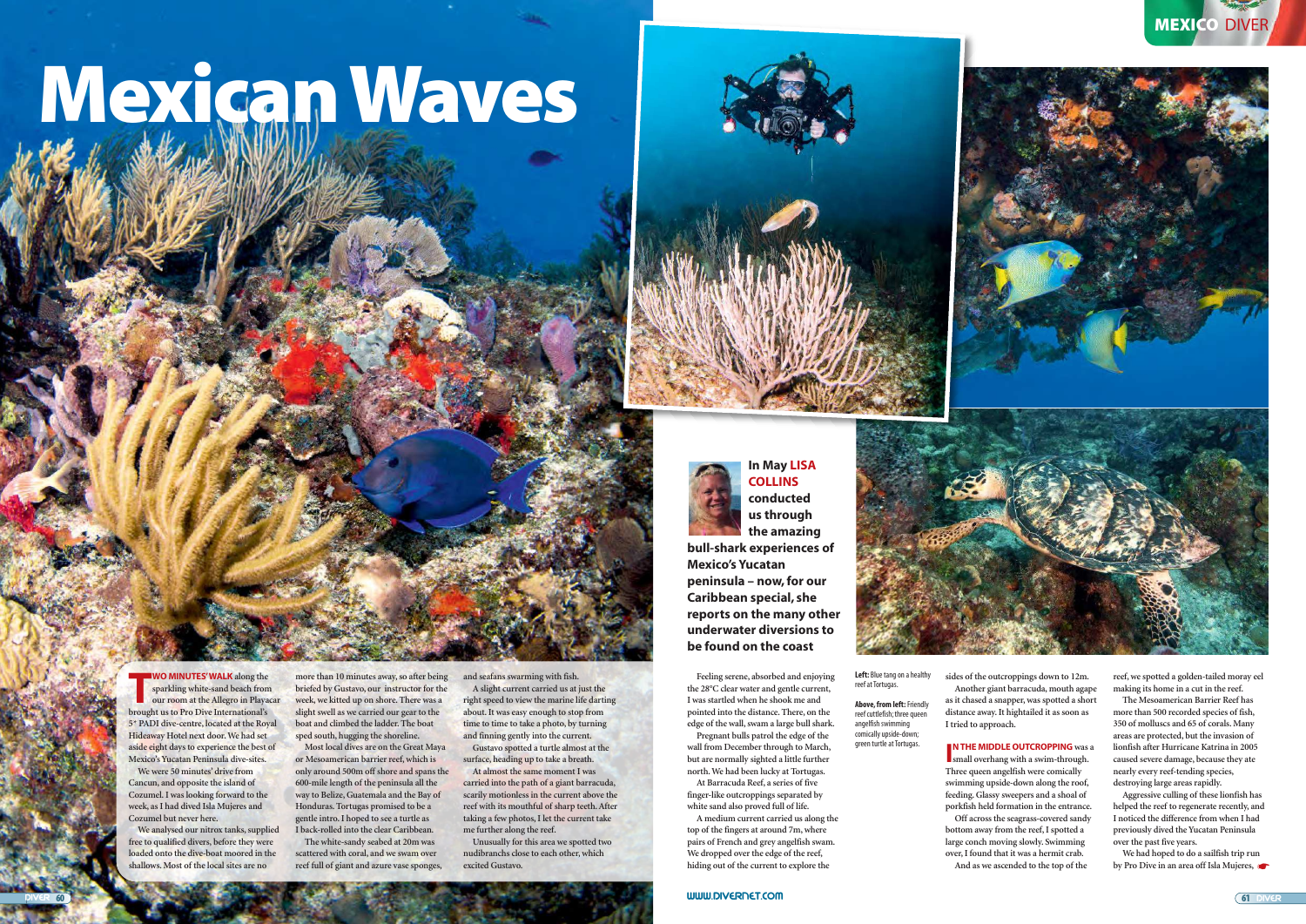**Feeling serene, absorbed and enjoying the 28°C clear water and gentle current, I was startled when he shook me and pointed into the distance. There, on the edge of the wall, swam a large bull shark.** 

**Pregnant bulls patrol the edge of the wall from December through to March, but are normally sighted a little further north. We had been lucky at Tortugas. At Barracuda Reef, a series of five**

**finger-like outcroppings separated by white sand also proved full of life.** 

**A medium current carried us along the top of the fingers at around 7m, where pairs of French and grey angelfish swam. We dropped over the edge of the reef, hiding out of the current to explore the**

**THE WO MINUTES' WALK** along the sparkling white-sand beach from our room at the Allegro in Playa brought us to Pro Dive International's **sparkling white-sand beach from our room at the Allegro in Playacar 5\* PADI dive-centre, located at the Royal Hideaway Hotel next door. We had set aside eight days to experience the best of Mexico's Yucatan Peninsula dive-sites.**

# Mexican Waves



**In May LISA COLLINS conducted us through the amazing** 

**bull-shark experiences of Mexico's Yucatan peninsula – now, for our Caribbean special, she reports on the many other underwater diversions to be found on the coast**



### **WO MINUTES' WALK along the**

**We were 50 minutes' drive from Cancun, and opposite the island of Cozumel. I was looking forward to the week, as I had dived Isla Mujeres and Cozumel but never here.**

**We analysed our nitrox tanks, supplied free to qualified divers, before they were loaded onto the dive-boat moored in the shallows. Most of the local sites are no**

**more than 10 minutes away, so after being briefed by Gustavo, our instructor for the week, we kitted up on shore. There was a slight swell as we carried our gear to the boat and climbed the ladder. The boat sped south, hugging the shoreline.**

> **IN THE MIDDLE OUTCROPPING** was<br>small overhang with a swim-through. **N THE MIDDLE OUTCROPPING** was a **Three queen angelfish were comically swimming upside-down along the roof, feeding. Glassy sweepers and a shoal of porkfish held formation in the entrance. Off across the seagrass-covered sandy bottom away from the reef, I spotted a large conch moving slowly. Swimming over, I found that it was a hermit crab. And as we ascended to the top of the**

**Most local dives are on the Great Maya or Mesoamerican barrier reef, which is only around 500m off shore and spans the 600-mile length of the peninsula all the way to Belize, Guatemala and the Bay of Honduras. Tortugas promised to be a gentle intro. I hoped to see a turtle as I back-rolled into the clear Caribbean.** 

> **We had hoped to do a sailfish trip run by Pro Dive in an area off Isla Mujeres,**

**The white-sandy seabed at 20m was scattered with coral, and we swam over reef full of giant and azure vase sponges,** **and seafans swarming with fish. A slight current carried us at just the right speed to view the marine life darting about. It was easy enough to stop from time to time to take a photo, by turning and finning gently into the current.**

**Gustavo spotted a turtle almost at the surface, heading up to take a breath. At almost the same moment I was**

**carried into the path of a giant barracuda, scarily motionless in the current above the reef with its mouthful of sharp teeth. After taking a few photos, I let the current take me further along the reef.**

**Unusually for this area we spotted two nudibranchs close to each other, which excited Gustavo.**

**sides of the outcroppings down to 12m. Another giant barracuda, mouth agape as it chased a snapper, was spotted a short distance away. It hightailed it as soon as I tried to approach.**

**reef, we spotted a golden-tailed moray eel making its home in a cut in the reef.**

**The Mesoamerican Barrier Reef has more than 500 recorded species of fish, 350 of molluscs and 65 of corals. Many areas are protected, but the invasion of lionfish after Hurricane Katrina in 2005 caused severe damage, because they ate nearly every reef-tending species, destroying large areas rapidly.** 

**Aggressive culling of these lionfish has helped the reef to regenerate recently, and I noticed the difference from when I had previously dived the Yucatan Peninsula over the past five years.**

**Left:** Blue tang on a healthy reef at Tortugas.

**Above, from left:**Friendly reef cuttlefish; three queen angelfish swimming comically upside-down; green turtle at Tortugas.

**www.divErNEt.com**

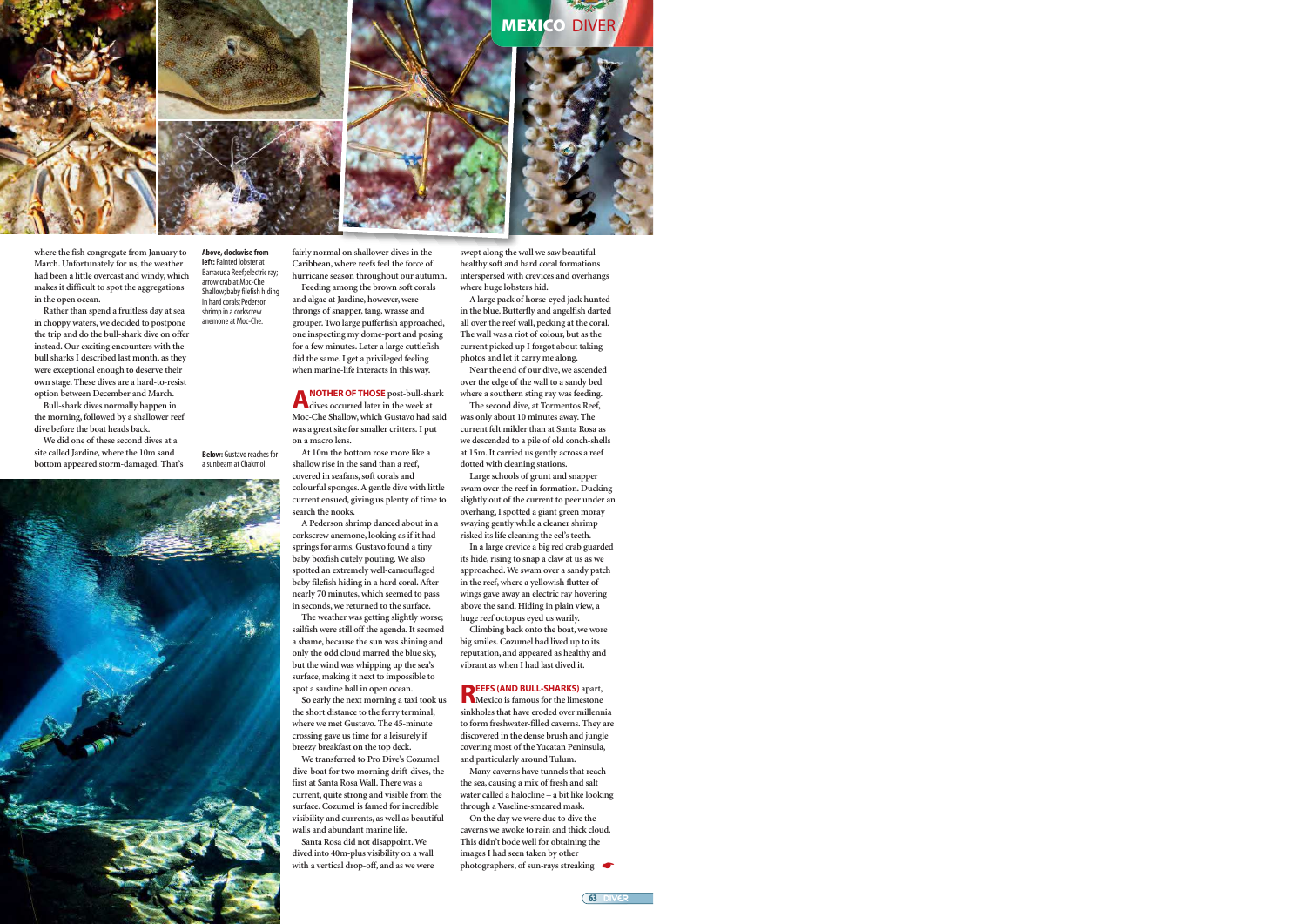## **MEXICO DIVER**







**where the fish congregate from January to March. Unfortunately for us, the weather had been a little overcast and windy, which makes it difficult to spot the aggregations in the open ocean.** 

**Rather than spend a fruitless day at sea in choppy waters, we decided to postpone the trip and do the bull-shark dive on offer instead. Our exciting encounters with the bull sharks I described last month, as they were exceptional enough to deserve their own stage. These dives are a hard-to-resist option between December and March.**

**Bull-shark dives normally happen in the morning, followed by a shallower reef dive before the boat heads back.** 

**We did one of these second dives at a site called Jardine, where the 10m sand**

**Above, clockwise from left:** Painted lobster at Barracuda Reef; electric ray; arrow crab at Moc-Che Shallow; baby filefish hiding in hard corals; Pederson shrimp in a corkscrew anemone at Moc-Che.

**fairly normal on shallower dives in the Caribbean, where reefs feel the force of hurricane season throughout our autumn. Feeding among the brown soft corals**

**and algae at Jardine, however, were throngs of snapper, tang, wrasse and grouper. Two large pufferfish approached, one inspecting my dome-port and posing for a few minutes. Later a large cuttlefish did the same. I get a privileged feeling when marine-life interacts in this way.**

**A NOTHER OF THOSE** post-bull-shark<br>Moc-Che Shallow, which Gustavo had said **NOTHER OF THOSE post-bull-shark dives occurred later in the week at was a great site for smaller critters. I put on a macro lens.**

**At 10m the bottom rose more like a shallow rise in the sand than a reef, covered in seafans, soft corals and colourful sponges. A gentle dive with little current ensued, giving us plenty of time to search the nooks.** 

**A Pederson shrimp danced about in a corkscrew anemone, looking as if it had springs for arms. Gustavo found a tiny baby boxfish cutely pouting. We also spotted an extremely well-camouflaged baby filefish hiding in a hard coral. After nearly 70 minutes, which seemed to pass in seconds, we returned to the surface.**

**The weather was getting slightly worse; sailfish were still off the agenda. It seemed a shame, because the sun was shining and only the odd cloud marred the blue sky, but the wind was whipping up the sea's surface, making it next to impossible to spot a sardine ball in open ocean.**

**So early the next morning a taxi took us the short distance to the ferry terminal, where we met Gustavo. The 45-minute crossing gave us time for a leisurely if breezy breakfast on the top deck.**

**We transferred to Pro Dive's Cozumel dive-boat for two morning drift-dives, the first at Santa Rosa Wall. There was a current, quite strong and visible from the surface. Cozumel is famed for incredible visibility and currents, as well as beautiful walls and abundant marine life.** 

**Santa Rosa did not disappoint. We dived into 40m-plus visibility on a wall with a vertical drop-off, and as we were**

**swept along the wall we saw beautiful healthy soft and hard coral formations interspersed with crevices and overhangs where huge lobsters hid.** 

**A large pack of horse-eyed jack hunted in the blue. Butterfly and angelfish darted all over the reef wall, pecking at the coral. The wall was a riot of colour, but as the current picked up I forgot about taking photos and let it carry me along.** 

**Near the end of our dive, we ascended over the edge of the wall to a sandy bed where a southern sting ray was feeding.**

**The second dive, at Tormentos Reef, was only about 10 minutes away. The current felt milder than at Santa Rosa as we descended to a pile of old conch-shells at 15m. It carried us gently across a reef dotted with cleaning stations.** 

**Large schools of grunt and snapper swam over the reef in formation. Ducking slightly out of the current to peer under an overhang, I spotted a giant green moray swaying gently while a cleaner shrimp risked its life cleaning the eel's teeth.** 

**In a large crevice a big red crab guarded its hide, rising to snap a claw at us as we approached. We swam over a sandy patch in the reef, where a yellowish flutter of wings gave away an electric ray hovering above the sand. Hiding in plain view, a huge reef octopus eyed us warily.**

**Climbing back onto the boat, we wore big smiles. Cozumel had lived up to its reputation, and appeared as healthy and vibrant as when I had last dived it.**

**REFS (AND BULL-SHARKS)** apart, **EEFS (AND BULL-SHARKS) apart, sinkholes that have eroded over millennia to form freshwater-filled caverns. They are discovered in the dense brush and jungle covering most of the Yucatan Peninsula, and particularly around Tulum.** 

**Many caverns have tunnels that reach the sea, causing a mix of fresh and salt water called a halocline – a bit like looking through a Vaseline-smeared mask.**

**On the day we were due to dive the caverns we awoke to rain and thick cloud. This didn't bode well for obtaining the images I had seen taken by other** photographers, of sun-rays streaking



63 **divEr**